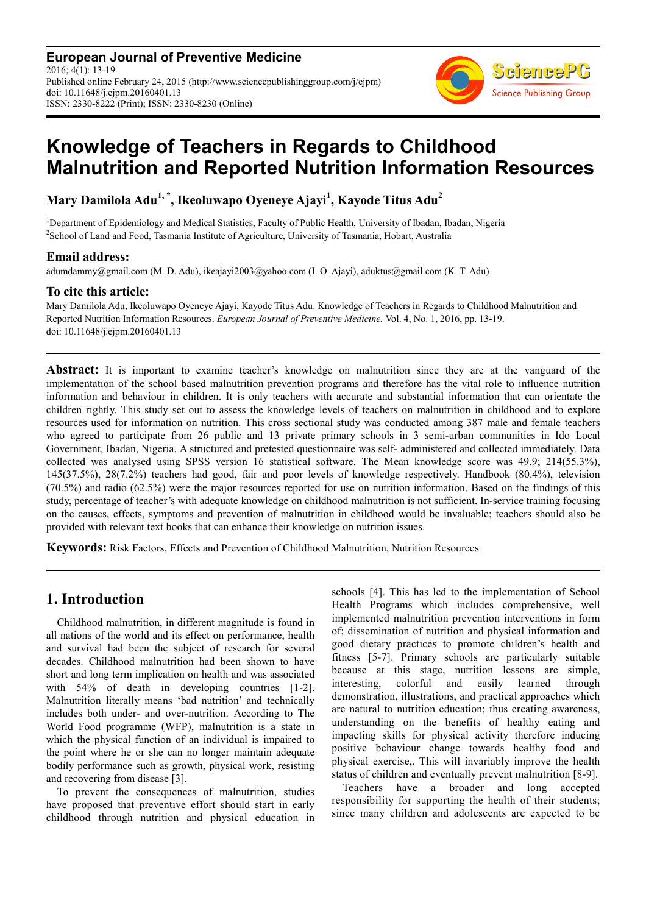**European Journal of Preventive Medicine** 2016; 4(1): 13-19 Published online February 24, 2015 (http://www.sciencepublishinggroup.com/j/ejpm) doi: 10.11648/j.ejpm.20160401.13 ISSN: 2330-8222 (Print); ISSN: 2330-8230 (Online)



# **Knowledge of Teachers in Regards to Childhood Malnutrition and Reported Nutrition Information Resources**

**Mary Damilola Adu1, \*, Ikeoluwapo Oyeneye Ajayi<sup>1</sup> , Kayode Titus Adu<sup>2</sup>**

<sup>1</sup>Department of Epidemiology and Medical Statistics, Faculty of Public Health, University of Ibadan, Ibadan, Nigeria <sup>2</sup>School of Land and Food, Tasmania Institute of Agriculture, University of Tasmania, Hobart, Australia

### **Email address:**

adumdammy@gmail.com (M. D. Adu), ikeajayi2003@yahoo.com (I. O. Ajayi), aduktus@gmail.com (K. T. Adu)

### **To cite this article:**

Mary Damilola Adu, Ikeoluwapo Oyeneye Ajayi, Kayode Titus Adu. Knowledge of Teachers in Regards to Childhood Malnutrition and Reported Nutrition Information Resources. *European Journal of Preventive Medicine.* Vol. 4, No. 1, 2016, pp. 13-19. doi: 10.11648/j.ejpm.20160401.13

**Abstract:** It is important to examine teacher's knowledge on malnutrition since they are at the vanguard of the implementation of the school based malnutrition prevention programs and therefore has the vital role to influence nutrition information and behaviour in children. It is only teachers with accurate and substantial information that can orientate the children rightly. This study set out to assess the knowledge levels of teachers on malnutrition in childhood and to explore resources used for information on nutrition. This cross sectional study was conducted among 387 male and female teachers who agreed to participate from 26 public and 13 private primary schools in 3 semi-urban communities in Ido Local Government, Ibadan, Nigeria. A structured and pretested questionnaire was self- administered and collected immediately. Data collected was analysed using SPSS version 16 statistical software. The Mean knowledge score was 49.9; 214(55.3%), 145(37.5%), 28(7.2%) teachers had good, fair and poor levels of knowledge respectively. Handbook (80.4%), television (70.5%) and radio (62.5%) were the major resources reported for use on nutrition information. Based on the findings of this study, percentage of teacher's with adequate knowledge on childhood malnutrition is not sufficient. In-service training focusing on the causes, effects, symptoms and prevention of malnutrition in childhood would be invaluable; teachers should also be provided with relevant text books that can enhance their knowledge on nutrition issues.

**Keywords:** Risk Factors, Effects and Prevention of Childhood Malnutrition, Nutrition Resources

# **1. Introduction**

Childhood malnutrition, in different magnitude is found in all nations of the world and its effect on performance, health and survival had been the subject of research for several decades. Childhood malnutrition had been shown to have short and long term implication on health and was associated with 54% of death in developing countries [1-2]. Malnutrition literally means 'bad nutrition' and technically includes both under- and over-nutrition. According to The World Food programme (WFP), malnutrition is a state in which the physical function of an individual is impaired to the point where he or she can no longer maintain adequate bodily performance such as growth, physical work, resisting and recovering from disease [3].

To prevent the consequences of malnutrition, studies have proposed that preventive effort should start in early childhood through nutrition and physical education in schools [4]. This has led to the implementation of School Health Programs which includes comprehensive, well implemented malnutrition prevention interventions in form of; dissemination of nutrition and physical information and good dietary practices to promote children's health and fitness [5-7]. Primary schools are particularly suitable because at this stage, nutrition lessons are simple, interesting, colorful and easily learned through demonstration, illustrations, and practical approaches which are natural to nutrition education; thus creating awareness, understanding on the benefits of healthy eating and impacting skills for physical activity therefore inducing positive behaviour change towards healthy food and physical exercise,. This will invariably improve the health status of children and eventually prevent malnutrition [8-9].

Teachers have a broader and long accepted responsibility for supporting the health of their students; since many children and adolescents are expected to be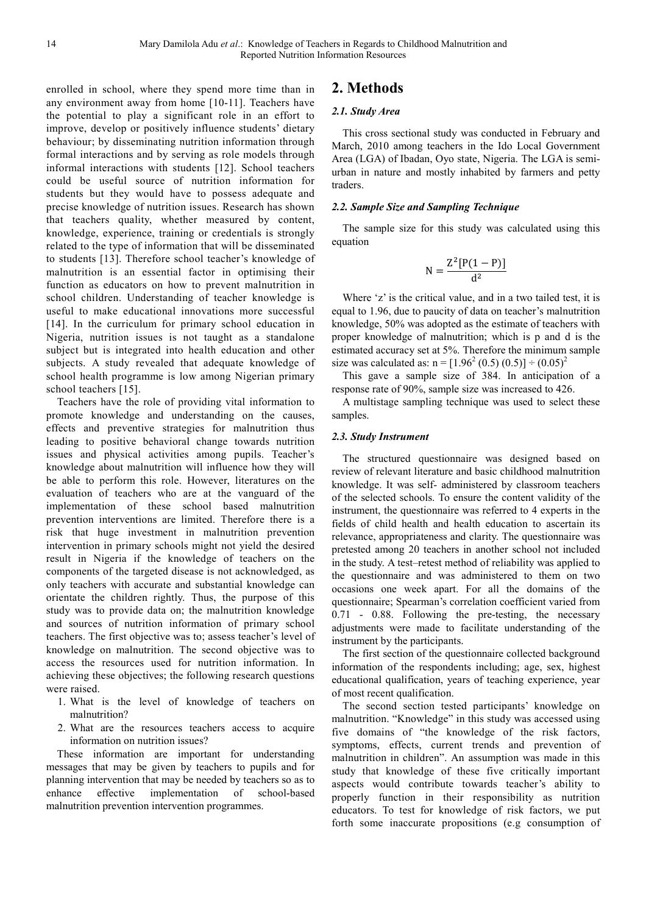enrolled in school, where they spend more time than in any environment away from home [10-11]. Teachers have the potential to play a significant role in an effort to improve, develop or positively influence students' dietary behaviour; by disseminating nutrition information through formal interactions and by serving as role models through informal interactions with students [12]. School teachers could be useful source of nutrition information for students but they would have to possess adequate and precise knowledge of nutrition issues. Research has shown that teachers quality, whether measured by content, knowledge, experience, training or credentials is strongly related to the type of information that will be disseminated to students [13]. Therefore school teacher's knowledge of malnutrition is an essential factor in optimising their function as educators on how to prevent malnutrition in school children. Understanding of teacher knowledge is useful to make educational innovations more successful [14]. In the curriculum for primary school education in Nigeria, nutrition issues is not taught as a standalone subject but is integrated into health education and other subjects. A study revealed that adequate knowledge of school health programme is low among Nigerian primary school teachers [15].

Teachers have the role of providing vital information to promote knowledge and understanding on the causes, effects and preventive strategies for malnutrition thus leading to positive behavioral change towards nutrition issues and physical activities among pupils. Teacher's knowledge about malnutrition will influence how they will be able to perform this role. However, literatures on the evaluation of teachers who are at the vanguard of the implementation of these school based malnutrition prevention interventions are limited. Therefore there is a risk that huge investment in malnutrition prevention intervention in primary schools might not yield the desired result in Nigeria if the knowledge of teachers on the components of the targeted disease is not acknowledged, as only teachers with accurate and substantial knowledge can orientate the children rightly. Thus, the purpose of this study was to provide data on; the malnutrition knowledge and sources of nutrition information of primary school teachers. The first objective was to; assess teacher's level of knowledge on malnutrition. The second objective was to access the resources used for nutrition information. In achieving these objectives; the following research questions were raised.

- 1. What is the level of knowledge of teachers on malnutrition?
- 2. What are the resources teachers access to acquire information on nutrition issues?

These information are important for understanding messages that may be given by teachers to pupils and for planning intervention that may be needed by teachers so as to enhance effective implementation of school-based malnutrition prevention intervention programmes.

# **2. Methods**

#### *2.1. Study Area*

This cross sectional study was conducted in February and March, 2010 among teachers in the Ido Local Government Area (LGA) of Ibadan, Oyo state, Nigeria. The LGA is semiurban in nature and mostly inhabited by farmers and petty traders.

#### *2.2. Sample Size and Sampling Technique*

The sample size for this study was calculated using this equation

$$
N=\frac{Z^2[P(1-P)]}{d^2}
$$

Where 'z' is the critical value, and in a two tailed test, it is equal to 1.96, due to paucity of data on teacher's malnutrition knowledge, 50% was adopted as the estimate of teachers with proper knowledge of malnutrition; which is p and d is the estimated accuracy set at 5%. Therefore the minimum sample size was calculated as:  $n = [1.96^2 (0.5) (0.5)] \div (0.05)^2$ 

This gave a sample size of 384. In anticipation of a response rate of 90%, sample size was increased to 426.

A multistage sampling technique was used to select these samples.

#### *2.3. Study Instrument*

The structured questionnaire was designed based on review of relevant literature and basic childhood malnutrition knowledge. It was self- administered by classroom teachers of the selected schools. To ensure the content validity of the instrument, the questionnaire was referred to 4 experts in the fields of child health and health education to ascertain its relevance, appropriateness and clarity. The questionnaire was pretested among 20 teachers in another school not included in the study. A test–retest method of reliability was applied to the questionnaire and was administered to them on two occasions one week apart. For all the domains of the questionnaire; Spearman's correlation coefficient varied from 0.71 - 0.88. Following the pre-testing, the necessary adjustments were made to facilitate understanding of the instrument by the participants.

The first section of the questionnaire collected background information of the respondents including; age, sex, highest educational qualification, years of teaching experience, year of most recent qualification.

The second section tested participants' knowledge on malnutrition. "Knowledge" in this study was accessed using five domains of "the knowledge of the risk factors, symptoms, effects, current trends and prevention of malnutrition in children". An assumption was made in this study that knowledge of these five critically important aspects would contribute towards teacher's ability to properly function in their responsibility as nutrition educators. To test for knowledge of risk factors, we put forth some inaccurate propositions (e.g consumption of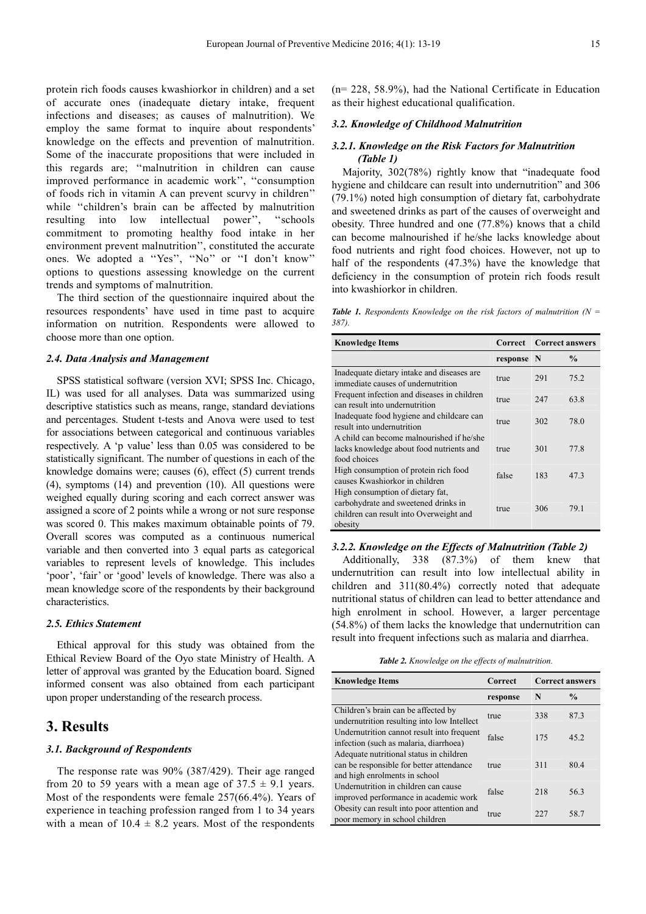protein rich foods causes kwashiorkor in children) and a set of accurate ones (inadequate dietary intake, frequent infections and diseases; as causes of malnutrition). We employ the same format to inquire about respondents' knowledge on the effects and prevention of malnutrition. Some of the inaccurate propositions that were included in this regards are; ''malnutrition in children can cause improved performance in academic work'', ''consumption of foods rich in vitamin A can prevent scurvy in children'' while "children's brain can be affected by malnutrition resulting into low intellectual power'', ''schools commitment to promoting healthy food intake in her environment prevent malnutrition'', constituted the accurate ones. We adopted a ''Yes'', ''No'' or ''I don't know'' options to questions assessing knowledge on the current trends and symptoms of malnutrition.

The third section of the questionnaire inquired about the resources respondents' have used in time past to acquire information on nutrition. Respondents were allowed to choose more than one option.

#### *2.4. Data Analysis and Management*

SPSS statistical software (version XVI; SPSS Inc. Chicago, IL) was used for all analyses. Data was summarized using descriptive statistics such as means, range, standard deviations and percentages. Student t-tests and Anova were used to test for associations between categorical and continuous variables respectively. A 'p value' less than 0.05 was considered to be statistically significant. The number of questions in each of the knowledge domains were; causes (6), effect (5) current trends (4), symptoms (14) and prevention (10). All questions were weighed equally during scoring and each correct answer was assigned a score of 2 points while a wrong or not sure response was scored 0. This makes maximum obtainable points of 79. Overall scores was computed as a continuous numerical variable and then converted into 3 equal parts as categorical variables to represent levels of knowledge. This includes 'poor', 'fair' or 'good' levels of knowledge. There was also a mean knowledge score of the respondents by their background characteristics.

#### *2.5. Ethics Statement*

Ethical approval for this study was obtained from the Ethical Review Board of the Oyo state Ministry of Health. A letter of approval was granted by the Education board. Signed informed consent was also obtained from each participant upon proper understanding of the research process.

### **3. Results**

#### *3.1. Background of Respondents*

The response rate was 90% (387/429). Their age ranged from 20 to 59 years with a mean age of  $37.5 \pm 9.1$  years. Most of the respondents were female 257(66.4%). Years of experience in teaching profession ranged from 1 to 34 years with a mean of  $10.4 \pm 8.2$  years. Most of the respondents (n= 228, 58.9%), had the National Certificate in Education as their highest educational qualification.

#### *3.2. Knowledge of Childhood Malnutrition*

#### *3.2.1. Knowledge on the Risk Factors for Malnutrition (Table 1)*

Majority, 302(78%) rightly know that "inadequate food hygiene and childcare can result into undernutrition" and 306 (79.1%) noted high consumption of dietary fat, carbohydrate and sweetened drinks as part of the causes of overweight and obesity. Three hundred and one (77.8%) knows that a child can become malnourished if he/she lacks knowledge about food nutrients and right food choices. However, not up to half of the respondents (47.3%) have the knowledge that deficiency in the consumption of protein rich foods result into kwashiorkor in children.

*Table 1. Respondents Knowledge on the risk factors of malnutrition (N =*  $\frac{1}{2}$ *387).* 

| <b>Knowledge Items</b>                                                                                                                                                           | <b>Correct</b> | <b>Correct answers</b> |               |
|----------------------------------------------------------------------------------------------------------------------------------------------------------------------------------|----------------|------------------------|---------------|
|                                                                                                                                                                                  | response N     |                        | $\frac{0}{0}$ |
| Inadequate dietary intake and diseases are<br>immediate causes of undernutrition                                                                                                 | true           | 291                    | 75.2          |
| Frequent infection and diseases in children<br>can result into undernutrition                                                                                                    | true           | 247                    | 63.8          |
| Inadequate food hygiene and childcare can<br>result into undernutrition<br>A child can become malnourished if he/she<br>lacks knowledge about food nutrients and<br>food choices | true           | 302                    | 78.0          |
|                                                                                                                                                                                  | true           | 301                    | 77.8          |
| High consumption of protein rich food<br>causes Kwashiorkor in children                                                                                                          | false          | 183                    | 47.3          |
| High consumption of dietary fat,<br>carbohydrate and sweetened drinks in<br>children can result into Overweight and<br>obesity                                                   | true           | 306                    | 79.1          |

#### *3.2.2. Knowledge on the Effects of Malnutrition (Table 2)*

Additionally, 338 (87.3%) of them knew that undernutrition can result into low intellectual ability in children and 311(80.4%) correctly noted that adequate nutritional status of children can lead to better attendance and high enrolment in school. However, a larger percentage (54.8%) of them lacks the knowledge that undernutrition can result into frequent infections such as malaria and diarrhea.

*Table 2. Knowledge on the effects of malnutrition.* 

| <b>Knowledge Items</b>                                                                                               | Correct  | <b>Correct answers</b> |               |
|----------------------------------------------------------------------------------------------------------------------|----------|------------------------|---------------|
|                                                                                                                      | response | N                      | $\frac{0}{0}$ |
| Children's brain can be affected by<br>undernutrition resulting into low Intellect                                   | true     | 338                    | 87.3          |
| Undernutrition cannot result into frequent<br>infection (such as malaria, diarrhoea)                                 | false    | 175                    | 45.2          |
| Adequate nutritional status in children<br>can be responsible for better attendance<br>and high enrolments in school | true     | 311                    | 80.4          |
| Undernutrition in children can cause<br>improved performance in academic work                                        | false    | 218                    | 56.3          |
| Obesity can result into poor attention and<br>poor memory in school children                                         | true     | 227                    | 58.7          |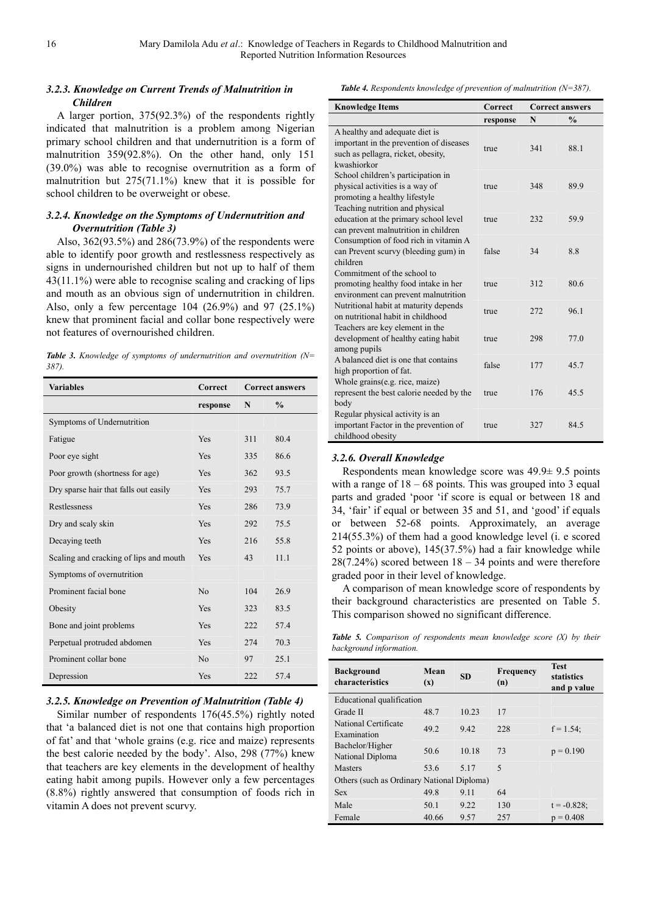### *3.2.3. Knowledge on Current Trends of Malnutrition in Children*

A larger portion, 375(92.3%) of the respondents rightly indicated that malnutrition is a problem among Nigerian primary school children and that undernutrition is a form of malnutrition 359(92.8%). On the other hand, only 151 (39.0%) was able to recognise overnutrition as a form of malnutrition but 275(71.1%) knew that it is possible for school children to be overweight or obese.

#### *3.2.4. Knowledge on the Symptoms of Undernutrition and Overnutrition (Table 3)*

Also, 362(93.5%) and 286(73.9%) of the respondents were able to identify poor growth and restlessness respectively as signs in undernourished children but not up to half of them 43(11.1%) were able to recognise scaling and cracking of lips and mouth as an obvious sign of undernutrition in children. Also, only a few percentage 104 (26.9%) and 97 (25.1%) knew that prominent facial and collar bone respectively were not features of overnourished children.

*Table 3. Knowledge of symptoms of undernutrition and overnutrition (N= 387).* 

| <b>Variables</b>                       | Correct        | <b>Correct answers</b> |               |
|----------------------------------------|----------------|------------------------|---------------|
|                                        | response       | N                      | $\frac{6}{9}$ |
| Symptoms of Undernutrition             |                |                        |               |
| Fatigue                                | Yes            | 311                    | 80.4          |
| Poor eye sight                         | <b>Yes</b>     | 335                    | 86.6          |
| Poor growth (shortness for age)        | Yes            | 362                    | 93.5          |
| Dry sparse hair that falls out easily  | Yes            | 293                    | 75.7          |
| Restlessness                           | Yes            | 286                    | 73.9          |
| Dry and scaly skin                     | Yes            | 292                    | 75.5          |
| Decaying teeth                         | Yes            | 216                    | 55.8          |
| Scaling and cracking of lips and mouth | <b>Yes</b>     | 43                     | 11.1          |
| Symptoms of overnutrition              |                |                        |               |
| Prominent facial bone                  | No             | 104                    | 26.9          |
| Obesity                                | <b>Yes</b>     | 323                    | 83.5          |
| Bone and joint problems                | <b>Yes</b>     | 222                    | 57.4          |
| Perpetual protruded abdomen            | <b>Yes</b>     | 274                    | 70.3          |
| Prominent collar bone                  | N <sub>o</sub> | 97                     | 25.1          |
| Depression                             | Yes            | 222                    | 57.4          |

#### *3.2.5. Knowledge on Prevention of Malnutrition (Table 4)*

Similar number of respondents 176(45.5%) rightly noted that 'a balanced diet is not one that contains high proportion of fat' and that 'whole grains (e.g. rice and maize) represents the best calorie needed by the body'. Also, 298 (77%) knew that teachers are key elements in the development of healthy eating habit among pupils. However only a few percentages (8.8%) rightly answered that consumption of foods rich in vitamin A does not prevent scurvy.

*Table 4. Respondents knowledge of prevention of malnutrition (N=387).* 

| <b>Knowledge Items</b>                                                                                                         | Correct  | <b>Correct answers</b> |               |
|--------------------------------------------------------------------------------------------------------------------------------|----------|------------------------|---------------|
|                                                                                                                                | response | N                      | $\frac{0}{0}$ |
| A healthy and adequate diet is<br>important in the prevention of diseases<br>such as pellagra, ricket, obesity,<br>kwashiorkor | true     | 341                    | 88.1          |
| School children's participation in<br>physical activities is a way of<br>promoting a healthy lifestyle                         | true     | 348                    | 89.9          |
| Teaching nutrition and physical<br>education at the primary school level<br>can prevent malnutrition in children               | true     | 232                    | 59.9          |
| Consumption of food rich in vitamin A<br>can Prevent scurvy (bleeding gum) in<br>children                                      | false    | 34                     | 8.8           |
| Commitment of the school to<br>promoting healthy food intake in her<br>environment can prevent malnutrition                    | true     | 312                    | 80.6          |
| Nutritional habit at maturity depends<br>on nutritional habit in childhood                                                     | true     | 272                    | 96.1          |
| Teachers are key element in the<br>development of healthy eating habit<br>among pupils                                         | true     | 298                    | 77.0          |
| A balanced diet is one that contains<br>high proportion of fat.                                                                | false    | 177                    | 45.7          |
| Whole grains(e.g. rice, maize)<br>represent the best calorie needed by the<br>body                                             | true     | 176                    | 45.5          |
| Regular physical activity is an<br>important Factor in the prevention of<br>childhood obesity                                  | true     | 327                    | 84.5          |

#### *3.2.6. Overall Knowledge*

Respondents mean knowledge score was 49.9± 9.5 points with a range of  $18 - 68$  points. This was grouped into 3 equal parts and graded 'poor 'if score is equal or between 18 and 34, 'fair' if equal or between 35 and 51, and 'good' if equals or between 52-68 points. Approximately, an average 214(55.3%) of them had a good knowledge level (i. e scored 52 points or above), 145(37.5%) had a fair knowledge while  $28(7.24\%)$  scored between  $18 - 34$  points and were therefore graded poor in their level of knowledge.

A comparison of mean knowledge score of respondents by their background characteristics are presented on Table 5. This comparison showed no significant difference.

*Table 5. Comparison of respondents mean knowledge score (X) by their background information.* 

| <b>Background</b><br>characteristics       | Mean<br>$(\mathbf{x})$ | <b>SD</b> | Frequency<br>(n) | <b>Test</b><br>statistics<br>and p value |  |  |
|--------------------------------------------|------------------------|-----------|------------------|------------------------------------------|--|--|
| Educational qualification                  |                        |           |                  |                                          |  |  |
| Grade II                                   | 48.7                   | 10.23     | 17               |                                          |  |  |
| National Certificate<br>Examination        | 49.2                   | 9.42      | 228              | $f = 1.54$ ;                             |  |  |
| Bachelor/Higher<br>National Diploma        | 50.6                   | 10.18     | 73               | $p = 0.190$                              |  |  |
| <b>Masters</b>                             | 53.6                   | 5.17      | 5                |                                          |  |  |
| Others (such as Ordinary National Diploma) |                        |           |                  |                                          |  |  |
| <b>Sex</b>                                 | 49.8                   | 9.11      | 64               |                                          |  |  |
| Male                                       | 50.1                   | 9.22      | 130              | $t = -0.828$ ;                           |  |  |
| Female                                     | 40.66                  | 9.57      | 257              | $p = 0.408$                              |  |  |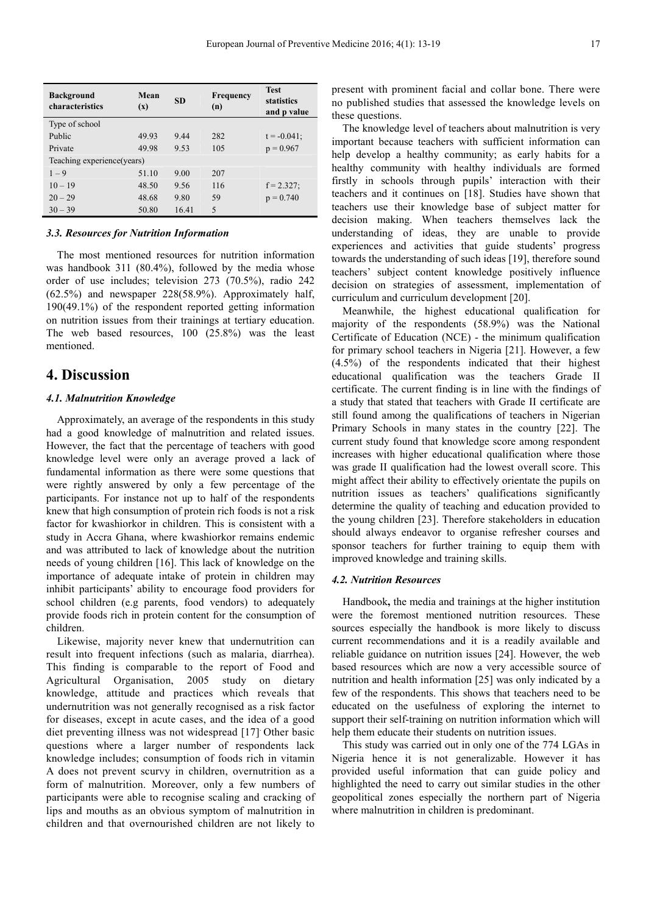| <b>Background</b><br>characteristics | Mean<br>$(\mathbf{x})$ | <b>SD</b> | <b>Frequency</b><br>(n) | <b>Test</b><br>statistics<br>and p value |  |
|--------------------------------------|------------------------|-----------|-------------------------|------------------------------------------|--|
| Type of school                       |                        |           |                         |                                          |  |
| Public                               | 49.93                  | 9.44      | 282                     | $t = -0.041$ ;                           |  |
| Private                              | 49.98                  | 9.53      | 105                     | $p = 0.967$                              |  |
| Teaching experience (years)          |                        |           |                         |                                          |  |
| $1 - 9$                              | 51.10                  | 9.00      | 207                     |                                          |  |
| $10 - 19$                            | 48.50                  | 9.56      | 116                     | $f = 2.327$ ;                            |  |
| $20 - 29$                            | 48.68                  | 9.80      | 59                      | $p = 0.740$                              |  |
| $30 - 39$                            | 50.80                  | 16.41     | 5                       |                                          |  |

#### *3.3. Resources for Nutrition Information*

The most mentioned resources for nutrition information was handbook 311 (80.4%), followed by the media whose order of use includes; television 273 (70.5%), radio 242 (62.5%) and newspaper 228(58.9%). Approximately half, 190(49.1%) of the respondent reported getting information on nutrition issues from their trainings at tertiary education. The web based resources, 100 (25.8%) was the least mentioned.

### **4. Discussion**

#### *4.1. Malnutrition Knowledge*

Approximately, an average of the respondents in this study had a good knowledge of malnutrition and related issues. However, the fact that the percentage of teachers with good knowledge level were only an average proved a lack of fundamental information as there were some questions that were rightly answered by only a few percentage of the participants. For instance not up to half of the respondents knew that high consumption of protein rich foods is not a risk factor for kwashiorkor in children. This is consistent with a study in Accra Ghana, where kwashiorkor remains endemic and was attributed to lack of knowledge about the nutrition needs of young children [16]. This lack of knowledge on the importance of adequate intake of protein in children may inhibit participants' ability to encourage food providers for school children (e.g parents, food vendors) to adequately provide foods rich in protein content for the consumption of children.

Likewise, majority never knew that undernutrition can result into frequent infections (such as malaria, diarrhea). This finding is comparable to the report of Food and Agricultural Organisation, 2005 study on dietary knowledge, attitude and practices which reveals that undernutrition was not generally recognised as a risk factor for diseases, except in acute cases, and the idea of a good diet preventing illness was not widespread [17]. Other basic questions where a larger number of respondents lack knowledge includes; consumption of foods rich in vitamin A does not prevent scurvy in children, overnutrition as a form of malnutrition. Moreover, only a few numbers of participants were able to recognise scaling and cracking of lips and mouths as an obvious symptom of malnutrition in children and that overnourished children are not likely to

present with prominent facial and collar bone. There were no published studies that assessed the knowledge levels on these questions.

The knowledge level of teachers about malnutrition is very important because teachers with sufficient information can help develop a healthy community; as early habits for a healthy community with healthy individuals are formed firstly in schools through pupils' interaction with their teachers and it continues on [18]. Studies have shown that teachers use their knowledge base of subject matter for decision making. When teachers themselves lack the understanding of ideas, they are unable to provide experiences and activities that guide students' progress towards the understanding of such ideas [19], therefore sound teachers' subject content knowledge positively influence decision on strategies of assessment, implementation of curriculum and curriculum development [20].

Meanwhile, the highest educational qualification for majority of the respondents (58.9%) was the National Certificate of Education (NCE) - the minimum qualification for primary school teachers in Nigeria [21]. However, a few (4.5%) of the respondents indicated that their highest educational qualification was the teachers Grade II certificate. The current finding is in line with the findings of a study that stated that teachers with Grade II certificate are still found among the qualifications of teachers in Nigerian Primary Schools in many states in the country [22]. The current study found that knowledge score among respondent increases with higher educational qualification where those was grade II qualification had the lowest overall score. This might affect their ability to effectively orientate the pupils on nutrition issues as teachers' qualifications significantly determine the quality of teaching and education provided to the young children [23]. Therefore stakeholders in education should always endeavor to organise refresher courses and sponsor teachers for further training to equip them with improved knowledge and training skills.

#### *4.2. Nutrition Resources*

Handbook**,** the media and trainings at the higher institution were the foremost mentioned nutrition resources. These sources especially the handbook is more likely to discuss current recommendations and it is a readily available and reliable guidance on nutrition issues [24]. However, the web based resources which are now a very accessible source of nutrition and health information [25] was only indicated by a few of the respondents. This shows that teachers need to be educated on the usefulness of exploring the internet to support their self-training on nutrition information which will help them educate their students on nutrition issues.

This study was carried out in only one of the 774 LGAs in Nigeria hence it is not generalizable. However it has provided useful information that can guide policy and highlighted the need to carry out similar studies in the other geopolitical zones especially the northern part of Nigeria where malnutrition in children is predominant.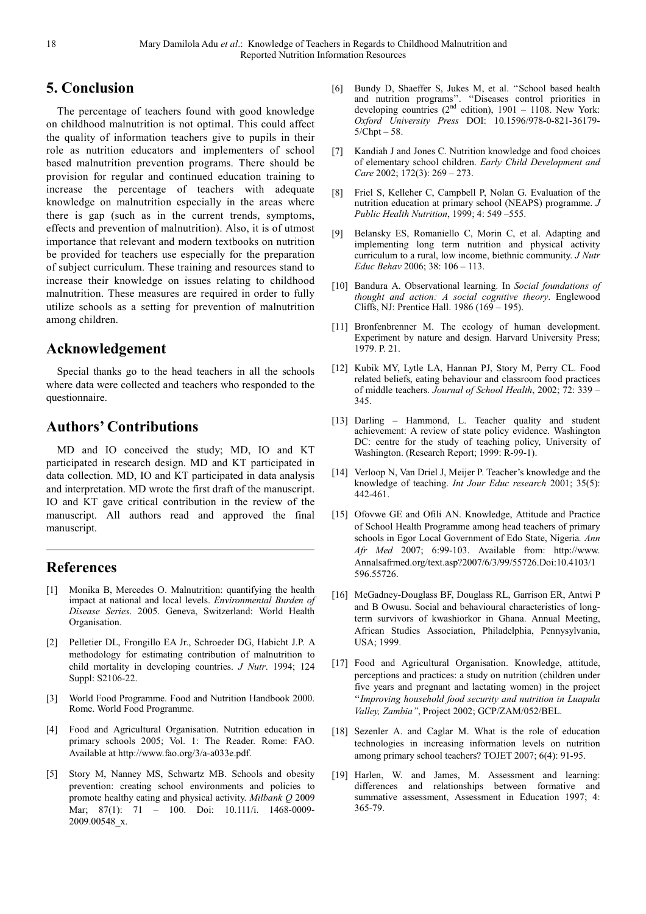# **5. Conclusion**

The percentage of teachers found with good knowledge on childhood malnutrition is not optimal. This could affect the quality of information teachers give to pupils in their role as nutrition educators and implementers of school based malnutrition prevention programs. There should be provision for regular and continued education training to increase the percentage of teachers with adequate knowledge on malnutrition especially in the areas where there is gap (such as in the current trends, symptoms, effects and prevention of malnutrition). Also, it is of utmost importance that relevant and modern textbooks on nutrition be provided for teachers use especially for the preparation of subject curriculum. These training and resources stand to increase their knowledge on issues relating to childhood malnutrition. These measures are required in order to fully utilize schools as a setting for prevention of malnutrition among children.

## **Acknowledgement**

Special thanks go to the head teachers in all the schools where data were collected and teachers who responded to the questionnaire.

# **Authors' Contributions**

MD and IO conceived the study; MD, IO and KT participated in research design. MD and KT participated in data collection. MD, IO and KT participated in data analysis and interpretation. MD wrote the first draft of the manuscript. IO and KT gave critical contribution in the review of the manuscript. All authors read and approved the final manuscript.

# **References**

- Monika B, Mercedes O. Malnutrition: quantifying the health impact at national and local levels. *Environmental Burden of Disease Series*. 2005. Geneva, Switzerland: World Health Organisation.
- [2] Pelletier DL, Frongillo EA Jr., Schroeder DG, Habicht J.P. A methodology for estimating contribution of malnutrition to child mortality in developing countries. *J Nutr*. 1994; 124 Suppl: S2106-22.
- [3] World Food Programme. Food and Nutrition Handbook 2000. Rome. World Food Programme.
- [4] Food and Agricultural Organisation. Nutrition education in primary schools 2005; Vol. 1: The Reader. Rome: FAO. Available at http://www.fao.org/3/a-a033e.pdf.
- [5] Story M, Nanney MS, Schwartz MB. Schools and obesity prevention: creating school environments and policies to promote healthy eating and physical activity. *Milbank Q* 2009 Mar; 87(1): 71 – 100. Doi: 10.111/i. 1468-0009- 2009.00548\_x.
- [6] Bundy D, Shaeffer S, Jukes M, et al. ''School based health and nutrition programs''. ''Diseases control priorities in developing countries  $(2^{nd}$  edition), 1901 – 1108. New York: *Oxford University Press* DOI: 10.1596/978-0-821-36179-  $5/Chpt - 58$ .
- [7] Kandiah J and Jones C. Nutrition knowledge and food choices of elementary school children. *Early Child Development and Care* 2002; 172(3): 269 – 273.
- [8] Friel S, Kelleher C, Campbell P, Nolan G. Evaluation of the nutrition education at primary school (NEAPS) programme. *J Public Health Nutrition*, 1999; 4: 549 –555.
- [9] Belansky ES, Romaniello C, Morin C, et al. Adapting and implementing long term nutrition and physical activity curriculum to a rural, low income, biethnic community. *J Nutr Educ Behav* 2006; 38: 106 – 113.
- [10] Bandura A. Observational learning. In *Social foundations of thought and action: A social cognitive theory*. Englewood Cliffs, NJ: Prentice Hall. 1986 (169 – 195).
- [11] Bronfenbrenner M. The ecology of human development. Experiment by nature and design. Harvard University Press; 1979. P. 21.
- [12] Kubik MY, Lytle LA, Hannan PJ, Story M, Perry CL. Food related beliefs, eating behaviour and classroom food practices of middle teachers. *Journal of School Health*, 2002; 72: 339 – 345.
- [13] Darling Hammond, L. Teacher quality and student achievement: A review of state policy evidence. Washington DC: centre for the study of teaching policy, University of Washington. (Research Report; 1999: R-99-1).
- [14] Verloop N, Van Driel J, Meijer P, Teacher's knowledge and the knowledge of teaching. *Int Jour Educ research* 2001; 35(5): 442-461.
- [15] Ofovwe GE and Ofili AN. Knowledge, Attitude and Practice of School Health Programme among head teachers of primary schools in Egor Local Government of Edo State, Nigeria*. Ann Afr Med* 2007; 6:99-103. Available from: http://www. Annalsafrmed.org/text.asp?2007/6/3/99/55726.Doi:10.4103/1 596.55726.
- [16] McGadney-Douglass BF, Douglass RL, Garrison ER, Antwi P and B Owusu. Social and behavioural characteristics of longterm survivors of kwashiorkor in Ghana. Annual Meeting, African Studies Association, Philadelphia, Pennysylvania, USA; 1999.
- [17] Food and Agricultural Organisation. Knowledge, attitude, perceptions and practices: a study on nutrition (children under five years and pregnant and lactating women) in the project ''*Improving household food security and nutrition in Luapula Valley, Zambia''*, Project 2002; GCP/ZAM/052/BEL.
- [18] Sezenler A. and Caglar M. What is the role of education technologies in increasing information levels on nutrition among primary school teachers? TOJET 2007; 6(4): 91-95.
- [19] Harlen, W. and James, M. Assessment and learning: differences and relationships between formative and summative assessment, Assessment in Education 1997; 4: 365-79.